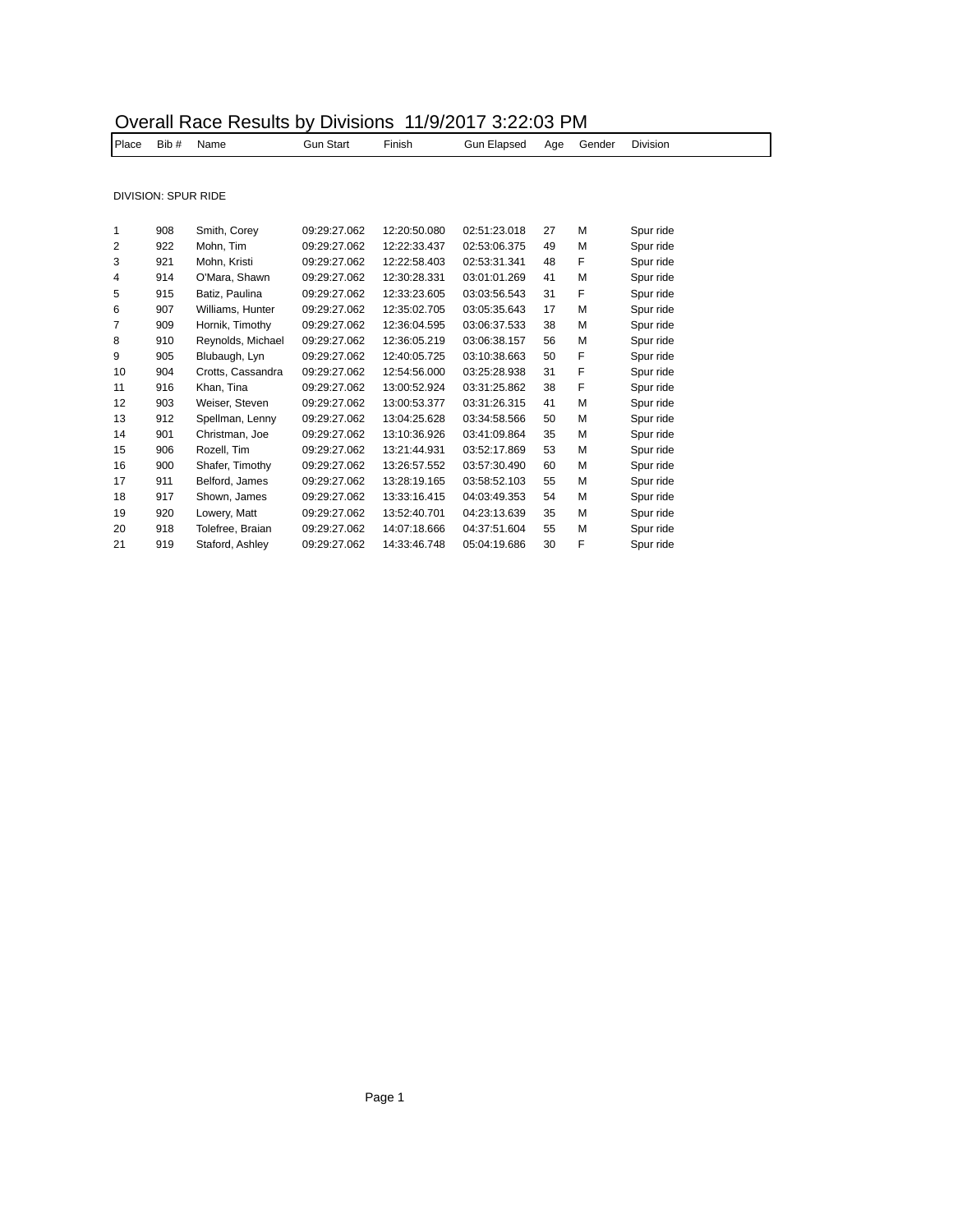|  |  | Overall Race Results by Divisions 11/9/2017 3:22:03 PM |
|--|--|--------------------------------------------------------|
|--|--|--------------------------------------------------------|

| Place  | Bib #               | Name                  | <b>Gun Start</b> | Finish       | <b>Gun Elapsed</b> | Age    | Gender   | <b>Division</b>                      |
|--------|---------------------|-----------------------|------------------|--------------|--------------------|--------|----------|--------------------------------------|
|        |                     |                       |                  |              |                    |        |          |                                      |
|        | DIVISION: SPUR RIDE |                       |                  |              |                    |        |          |                                      |
|        | 908                 | Smith, Corey          | 09:29:27.062     | 12:20:50.080 | 02:51:23.018       | 27     | M        | Spur ride                            |
| 2      | 922                 | Mohn. Tim             | 09:29:27.062     | 12:22:33.437 | 02:53:06.375       | 49     | M        | Spur ride                            |
| 3      | 921                 | Mohn. Kristi          | 09:29:27.062     | 12:22:58.403 | 02:53:31.341       | 48     | F        | Spur ride                            |
| 4      | 914                 | O'Mara, Shawn         | 09:29:27.062     | 12:30:28.331 | 03:01:01.269       | 41     | M        | Spur ride                            |
| 5      | 915                 | Batiz, Paulina        | 09:29:27.062     | 12:33:23.605 | 03:03:56.543       | 31     | F        | Spur ride                            |
| 6      | 907                 | Williams, Hunter      | 09:29:27.062     | 12:35:02.705 | 03:05:35.643       | 17     | M        | Spur ride                            |
|        | 909                 | Hornik, Timothy       | 09:29:27.062     | 12:36:04.595 | 03:06:37.533       | 38     | M        | Spur ride                            |
| $\sim$ | $\sim$              | المستلمنا والمستحسنات | 0.0000700        | 10.00.05.040 |                    | $\sim$ | <b>A</b> | <b>Contract of the International</b> |

| $\overline{7}$ | 909 | Hornik, Timothy   | 09:29:27.062 | 12:36:04.595 | 03:06:37.533 | 38 | M | Spur ride |
|----------------|-----|-------------------|--------------|--------------|--------------|----|---|-----------|
| 8              | 910 | Reynolds, Michael | 09:29:27.062 | 12:36:05.219 | 03:06:38.157 | 56 | M | Spur ride |
| 9              | 905 | Blubaugh, Lyn     | 09:29:27.062 | 12:40:05.725 | 03:10:38.663 | 50 | F | Spur ride |
| 10             | 904 | Crotts, Cassandra | 09:29:27.062 | 12:54:56.000 | 03:25:28.938 | 31 | F | Spur ride |
| 11             | 916 | Khan, Tina        | 09:29:27.062 | 13:00:52.924 | 03:31:25.862 | 38 | F | Spur ride |
| 12             | 903 | Weiser, Steven    | 09:29:27.062 | 13:00:53.377 | 03:31:26.315 | 41 | M | Spur ride |
| 13             | 912 | Spellman, Lenny   | 09:29:27.062 | 13:04:25.628 | 03:34:58.566 | 50 | M | Spur ride |
| 14             | 901 | Christman, Joe    | 09:29:27.062 | 13:10:36.926 | 03:41:09.864 | 35 | M | Spur ride |
| 15             | 906 | Rozell. Tim       | 09:29:27.062 | 13:21:44.931 | 03:52:17.869 | 53 | M | Spur ride |
| 16             | 900 | Shafer, Timothy   | 09:29:27.062 | 13:26:57.552 | 03:57:30.490 | 60 | M | Spur ride |
| 17             | 911 | Belford, James    | 09:29:27.062 | 13:28:19.165 | 03:58:52.103 | 55 | M | Spur ride |
| 18             | 917 | Shown, James      | 09:29:27.062 | 13:33:16.415 | 04:03:49.353 | 54 | M | Spur ride |
| 19             | 920 | Lowery, Matt      | 09:29:27.062 | 13:52:40.701 | 04:23:13.639 | 35 | M | Spur ride |
| 20             | 918 | Tolefree, Braian  | 09:29:27.062 | 14:07:18.666 | 04:37:51.604 | 55 | M | Spur ride |
| 21             | 919 | Staford, Ashley   | 09:29:27.062 | 14:33:46.748 | 05:04:19.686 | 30 | F | Spur ride |
|                |     |                   |              |              |              |    |   |           |